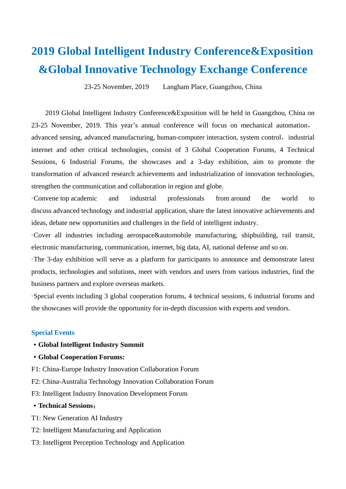# **2019 Global Intelligent Industry Conference&Exposition &Global Innovative Technology Exchange Conference**

23-25 November, 2019 Langham Place, Guangzhou, China

2019 Global Intelligent Industry Conference&Exposition will be held in Guangzhou, China on 23-25 November, 2019. This year's annual conference will focus on mechanical automation, advanced sensing, advanced manufacturing, human-computer interaction, system control, industrial internet and other critical technologies, consist of 3 Global Cooperation Forums, 4 Technical Sessions, 6 Industrial Forums, the showcases and a 3-day exhibition, aim to promote the transformation of advanced research achievements and industrialization of innovation technologies, strengthen the communication and collaboration in region and globe.

·Convene top academic and industrial professionals from around the world to discuss advanced technology and industrial application, share the latest innovative achievements and ideas, debate new opportunities and challenges in the field of intelligent industry.

·Cover all industries including aerospace&automobile manufacturing, shipbuilding, rail transit, electronic manufacturing, communication, internet, big data, AI, national defense and so on.

·The 3-day exhibition will serve as a platform for participants to announce and demonstrate latest products, technologies and solutions, meet with vendors and users from various industries, find the business partners and explore overseas markets.

·Special events including 3 global cooperation forums, 4 technical sessions, 6 industrial forums and the showcases will provide the opportunity for in-depth discussion with experts and vendors.

#### **Special Events**

- ·**Global Intelligent Industry Summit**
- ·**Global Cooperation Forums:**
- F1: China-Europe Industry Innovation Collaboration Forum
- F2: China-Australia Technology Innovation Collaboration Forum
- F3: Intelligent Industry Innovation Development Forum

# ·**Technical Sessions**:

- T1: New Generation AI Industry
- T2: Intelligent Manufacturing and Application
- T3: Intelligent Perception Technology and Application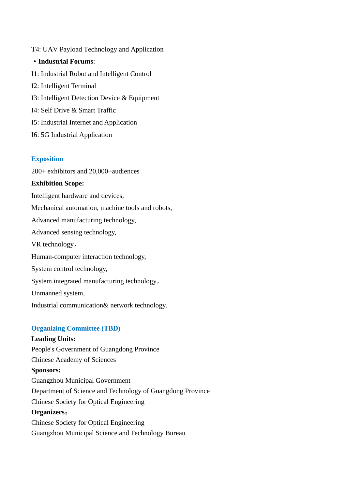T4: UAV Payload Technology and Application ·**Industrial Forums**: I1: Industrial Robot and Intelligent Control I2: Intelligent Terminal I3: Intelligent Detection Device & Equipment I4: Self Drive & Smart Traffic I5: Industrial Internet and Application I6: 5G Industrial Application

# **Exposition**

200+ exhibitors and 20,000+audiences

### **Exhibition Scope:**

Intelligent hardware and devices,

Mechanical automation, machine tools and robots,

Advanced manufacturing technology,

Advanced sensing technology,

VR technology,

Human-computer interaction technology,

System control technology,

System integrated manufacturing technology,

Unmanned system,

Industrial communication& network technology.

# **Organizing Committee (TBD)**

# **Leading Units:**

People's Government of Guangdong Province Chinese Academy of Sciences **Sponsors:** Guangzhou Municipal Government Department of Science and Technology of Guangdong Province Chinese Society for Optical Engineering **Organizers**: Chinese Society for Optical Engineering Guangzhou Municipal Science and Technology Bureau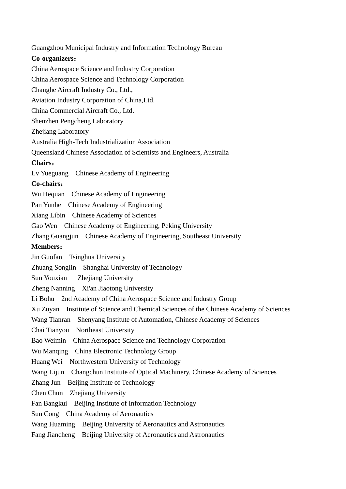Guangzhou Municipal Industry and Information Technology Bureau **Co-organizers**: China Aerospace Science and Industry Corporation China Aerospace Science and Technology Corporation Changhe Aircraft Industry Co., Ltd., Aviation Industry Corporation of China,Ltd. China Commercial Aircraft Co., Ltd. Shenzhen Pengcheng Laboratory Zheiiang Laboratory Australia High-Tech Industrialization Association Queensland Chinese Association of Scientists and Engineers, Australia **Chairs**: Lv Yueguang Chinese Academy of Engineering **Co-chairs**: Wu Hequan Chinese Academy of Engineering Pan Yunhe Chinese Academy of Engineering Xiang Libin Chinese Academy of Sciences Gao Wen Chinese Academy of Engineering, Peking University Zhang Guangjun Chinese Academy of Engineering, Southeast University **Members**: Jin Guofan Tsinghua University Zhuang Songlin Shanghai University of Technology Sun Youxian Zhejiang University Zheng Nanning Xi'an Jiaotong University Li Bohu 2nd Academy of China Aerospace Science and Industry Group Xu Zuyan Institute of Science and Chemical Sciences of the Chinese Academy of Sciences Wang Tianran Shenyang Institute of Automation, Chinese Academy of Sciences Chai Tianyou Northeast University Bao Weimin China Aerospace Science and Technology Corporation Wu Manqing China Electronic Technology Group Huang Wei Northwestern University of Technology Wang Lijun Changchun Institute of Optical Machinery, Chinese Academy of Sciences Zhang Jun Beijing Institute of Technology Chen Chun Zhejiang University Fan Bangkui Beijing Institute of Information Technology Sun Cong China Academy of Aeronautics Wang Huaming Beijing University of Aeronautics and Astronautics Fang Jiancheng Beijing University of Aeronautics and Astronautics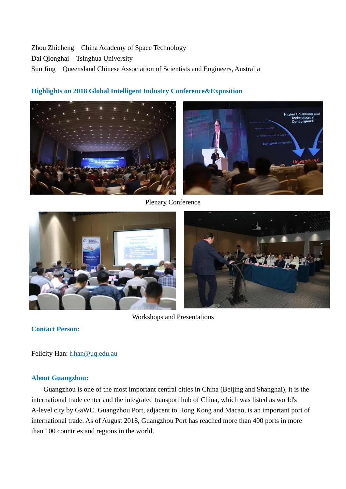Zhou Zhicheng China Academy of Space Technology Dai Qionghai Tsinghua University Sun JingQueensland Chinese Association of Scientists and Engineers, Australia



# **Highlights on 2018 Global Intelligent Industry Conference&Exposition**

Plenary Conference



# Workshops and Presentations

**Contact Person:**

Felicity Han: [f.han@uq.edu.au](mailto:f.han@uq.edu.au)

# **About Guangzhou:**

Guangzhou is one of the most important central cities in China (Beijing and Shanghai), it is the international trade center and the integrated transport hub of China, which was listed as world's A-level city by GaWC. Guangzhou Port, adjacent to Hong Kong and Macao, is an important port of international trade. As of August 2018, Guangzhou Port has reached more than 400 ports in more than 100 countries and regions in the world.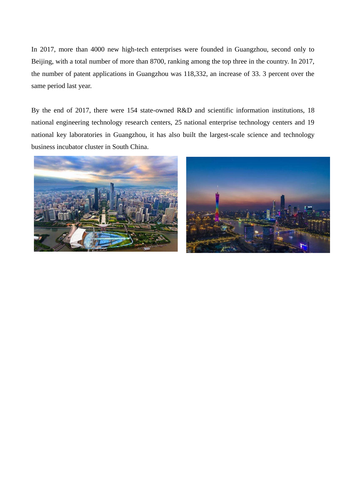In 2017, more than 4000 new high-tech enterprises were founded in Guangzhou, second only to Beijing, with a total number of more than 8700, ranking among the top three in the country. In 2017, the number of patent applications in Guangzhou was 118,332, an increase of 33. 3 percent over the same period last year.

By the end of 2017, there were 154 state-owned R&D and scientific information institutions, 18 national engineering technology research centers, 25 national enterprise technology centers and 19 national key laboratories in Guangzhou, it has also built the largest-scale science and technology business incubator cluster in South China.



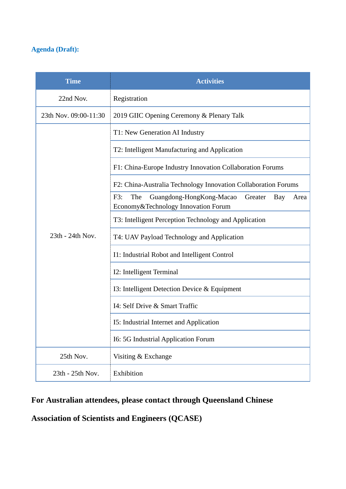# **Agenda (Draft):**

| <b>Time</b>           | <b>Activities</b>                                                                                         |
|-----------------------|-----------------------------------------------------------------------------------------------------------|
| 22nd Nov.             | Registration                                                                                              |
| 23th Nov. 09:00-11:30 | 2019 GIIC Opening Ceremony & Plenary Talk                                                                 |
| 23th - 24th Nov.      | T1: New Generation AI Industry                                                                            |
|                       | T2: Intelligent Manufacturing and Application                                                             |
|                       | F1: China-Europe Industry Innovation Collaboration Forums                                                 |
|                       | F2: China-Australia Technology Innovation Collaboration Forums                                            |
|                       | F3:<br>The<br>Guangdong-HongKong-Macao<br>Greater<br>Bay<br>Area<br>Economy & Technology Innovation Forum |
|                       | T3: Intelligent Perception Technology and Application                                                     |
|                       | T4: UAV Payload Technology and Application                                                                |
|                       | I1: Industrial Robot and Intelligent Control                                                              |
|                       | I2: Intelligent Terminal                                                                                  |
|                       | I3: Intelligent Detection Device & Equipment                                                              |
|                       | 14: Self Drive & Smart Traffic                                                                            |
|                       | 15: Industrial Internet and Application                                                                   |
|                       | <b>I6: 5G Industrial Application Forum</b>                                                                |
| 25th Nov.             | Visiting & Exchange                                                                                       |
| 23th - 25th Nov.      | Exhibition                                                                                                |

# **For Australian attendees, please contact through Queensland Chinese**

# **Association of Scientists and Engineers (QCASE)**